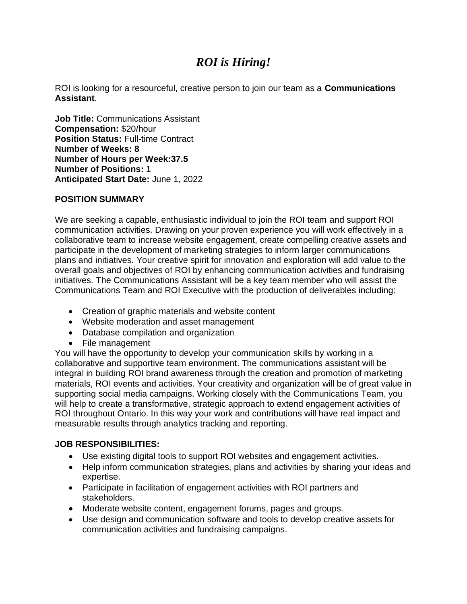# *ROI is Hiring!*

ROI is looking for a resourceful, creative person to join our team as a **Communications Assistant**.

**Job Title:** Communications Assistant **Compensation:** \$20/hour **Position Status: Full-time Contract Number of Weeks: 8 Number of Hours per Week:37.5 Number of Positions:** 1 **Anticipated Start Date:** June 1, 2022

## **POSITION SUMMARY**

We are seeking a capable, enthusiastic individual to join the ROI team and support ROI communication activities. Drawing on your proven experience you will work effectively in a collaborative team to increase website engagement, create compelling creative assets and participate in the development of marketing strategies to inform larger communications plans and initiatives. Your creative spirit for innovation and exploration will add value to the overall goals and objectives of ROI by enhancing communication activities and fundraising initiatives. The Communications Assistant will be a key team member who will assist the Communications Team and ROI Executive with the production of deliverables including:

- Creation of graphic materials and website content
- Website moderation and asset management
- Database compilation and organization
- File management

You will have the opportunity to develop your communication skills by working in a collaborative and supportive team environment. The communications assistant will be integral in building ROI brand awareness through the creation and promotion of marketing materials, ROI events and activities. Your creativity and organization will be of great value in supporting social media campaigns. Working closely with the Communications Team, you will help to create a transformative, strategic approach to extend engagement activities of ROI throughout Ontario. In this way your work and contributions will have real impact and measurable results through analytics tracking and reporting.

## **JOB RESPONSIBILITIES:**

- Use existing digital tools to support ROI websites and engagement activities.
- Help inform communication strategies, plans and activities by sharing your ideas and expertise.
- Participate in facilitation of engagement activities with ROI partners and stakeholders.
- Moderate website content, engagement forums, pages and groups.
- Use design and communication software and tools to develop creative assets for communication activities and fundraising campaigns.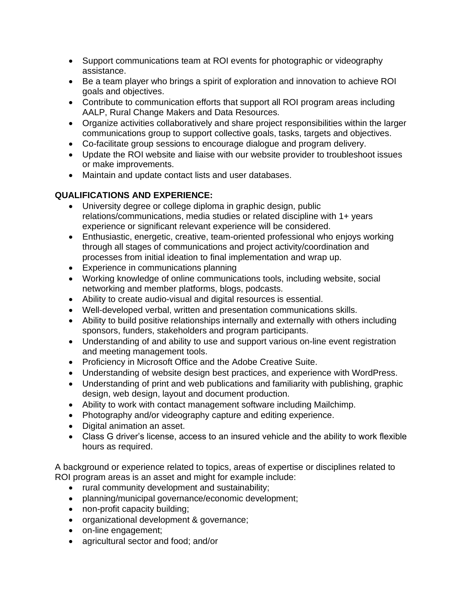- Support communications team at ROI events for photographic or videography assistance.
- Be a team player who brings a spirit of exploration and innovation to achieve ROI goals and objectives.
- Contribute to communication efforts that support all ROI program areas including AALP, Rural Change Makers and Data Resources.
- Organize activities collaboratively and share project responsibilities within the larger communications group to support collective goals, tasks, targets and objectives.
- Co-facilitate group sessions to encourage dialogue and program delivery.
- Update the ROI website and liaise with our website provider to troubleshoot issues or make improvements.
- Maintain and update contact lists and user databases.

## **QUALIFICATIONS AND EXPERIENCE:**

- University degree or college diploma in graphic design, public relations/communications, media studies or related discipline with 1+ years experience or significant relevant experience will be considered.
- Enthusiastic, energetic, creative, team-oriented professional who enjoys working through all stages of communications and project activity/coordination and processes from initial ideation to final implementation and wrap up.
- Experience in communications planning
- Working knowledge of online communications tools, including website, social networking and member platforms, blogs, podcasts.
- Ability to create audio-visual and digital resources is essential.
- Well-developed verbal, written and presentation communications skills.
- Ability to build positive relationships internally and externally with others including sponsors, funders, stakeholders and program participants.
- Understanding of and ability to use and support various on-line event registration and meeting management tools.
- Proficiency in Microsoft Office and the Adobe Creative Suite.
- Understanding of website design best practices, and experience with WordPress.
- Understanding of print and web publications and familiarity with publishing, graphic design, web design, layout and document production.
- Ability to work with contact management software including Mailchimp.
- Photography and/or videography capture and editing experience.
- Digital animation an asset.
- Class G driver's license, access to an insured vehicle and the ability to work flexible hours as required.

A background or experience related to topics, areas of expertise or disciplines related to ROI program areas is an asset and might for example include:

- rural community development and sustainability;
- planning/municipal governance/economic development;
- non-profit capacity building;
- organizational development & governance;
- on-line engagement;
- agricultural sector and food; and/or